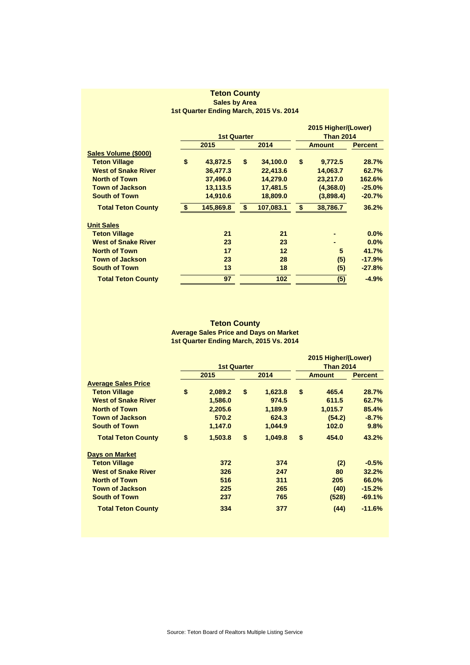## **Teton County Sales by Area 1st Quarter Ending March, 2015 Vs. 2014**

|                            | <b>1st Quarter</b> |           |      |           |               | 2015 Higher/(Lower)<br><b>Than 2014</b> |                |  |
|----------------------------|--------------------|-----------|------|-----------|---------------|-----------------------------------------|----------------|--|
|                            | 2015               |           | 2014 |           | <b>Amount</b> |                                         | <b>Percent</b> |  |
| Sales Volume (\$000)       |                    |           |      |           |               |                                         |                |  |
| <b>Teton Village</b>       | \$                 | 43,872.5  | \$   | 34,100.0  | \$            | 9,772.5                                 | 28.7%          |  |
| <b>West of Snake River</b> |                    | 36,477.3  |      | 22,413.6  |               | 14,063.7                                | 62.7%          |  |
| <b>North of Town</b>       |                    | 37,496.0  |      | 14,279.0  |               | 23,217.0                                | 162.6%         |  |
| <b>Town of Jackson</b>     |                    | 13,113.5  |      | 17,481.5  |               | (4,368.0)                               | $-25.0%$       |  |
| <b>South of Town</b>       |                    | 14,910.6  |      | 18,809.0  |               | (3,898.4)                               | $-20.7%$       |  |
| <b>Total Teton County</b>  | \$                 | 145,869.8 | \$   | 107,083.1 | \$            | 38,786.7                                | 36.2%          |  |
| <b>Unit Sales</b>          |                    |           |      |           |               |                                         |                |  |
| <b>Teton Village</b>       |                    | 21        |      | 21        |               |                                         | 0.0%           |  |
| <b>West of Snake River</b> |                    | 23        |      | 23        |               |                                         | 0.0%           |  |
| <b>North of Town</b>       |                    | 17        |      | 12        |               | 5                                       | 41.7%          |  |
| <b>Town of Jackson</b>     |                    | 23        |      | 28        |               | (5)                                     | $-17.9%$       |  |
| <b>South of Town</b>       |                    | 13        |      | 18        |               | (5)                                     | $-27.8%$       |  |
| <b>Total Teton County</b>  |                    | 97        |      | 102       |               | (5)                                     | $-4.9%$        |  |

## **Teton County Average Sales Price and Days on Market 1st Quarter Ending March, 2015 Vs. 2014**

|                            |                    |         |      |         | 2015 Higher/(Lower) |         |                |  |
|----------------------------|--------------------|---------|------|---------|---------------------|---------|----------------|--|
|                            | <b>1st Quarter</b> |         |      |         | <b>Than 2014</b>    |         |                |  |
|                            | 2015               |         | 2014 |         | <b>Amount</b>       |         | <b>Percent</b> |  |
| <b>Average Sales Price</b> |                    |         |      |         |                     |         |                |  |
| <b>Teton Village</b>       | \$                 | 2,089.2 | \$   | 1,623.8 | \$                  | 465.4   | 28.7%          |  |
| <b>West of Snake River</b> |                    | 1,586.0 |      | 974.5   |                     | 611.5   | 62.7%          |  |
| <b>North of Town</b>       |                    | 2,205.6 |      | 1,189.9 |                     | 1,015.7 | 85.4%          |  |
| <b>Town of Jackson</b>     |                    | 570.2   |      | 624.3   |                     | (54.2)  | $-8.7%$        |  |
| <b>South of Town</b>       |                    | 1,147.0 |      | 1,044.9 |                     | 102.0   | 9.8%           |  |
| <b>Total Teton County</b>  | \$                 | 1,503.8 | \$   | 1,049.8 | \$                  | 454.0   | 43.2%          |  |
| <b>Days on Market</b>      |                    |         |      |         |                     |         |                |  |
| <b>Teton Village</b>       |                    | 372     |      | 374     |                     | (2)     | $-0.5%$        |  |
| <b>West of Snake River</b> |                    | 326     |      | 247     |                     | 80      | 32.2%          |  |
| <b>North of Town</b>       |                    | 516     |      | 311     |                     | 205     | 66.0%          |  |
| <b>Town of Jackson</b>     |                    | 225     |      | 265     |                     | (40)    | $-15.2%$       |  |
| <b>South of Town</b>       |                    | 237     |      | 765     |                     | (528)   | $-69.1%$       |  |
| <b>Total Teton County</b>  |                    | 334     |      | 377     |                     | (44)    | $-11.6%$       |  |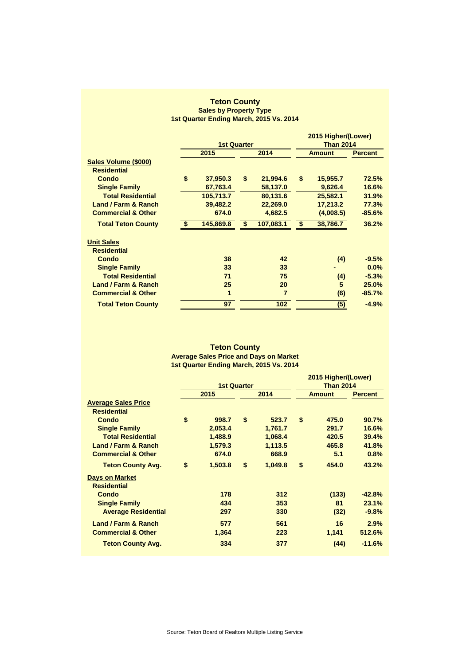## **Teton County Sales by Property Type 1st Quarter Ending March, 2015 Vs. 2014**

|                                |             |                    |      |                |               | 2015 Higher/(Lower) |                |  |
|--------------------------------|-------------|--------------------|------|----------------|---------------|---------------------|----------------|--|
|                                |             | <b>1st Quarter</b> |      |                |               | <b>Than 2014</b>    |                |  |
|                                | 2015        |                    | 2014 |                | <b>Amount</b> |                     | <b>Percent</b> |  |
| Sales Volume (\$000)           |             |                    |      |                |               |                     |                |  |
| <b>Residential</b>             |             |                    |      |                |               |                     |                |  |
| <b>Condo</b>                   | \$          | 37,950.3           | \$   | 21,994.6       | \$            | 15,955.7            | 72.5%          |  |
| <b>Single Family</b>           |             | 67,763.4           |      | 58,137.0       |               | 9,626.4             | 16.6%          |  |
| <b>Total Residential</b>       |             | 105,713.7          |      | 80,131.6       |               | 25,582.1            | 31.9%          |  |
| <b>Land / Farm &amp; Ranch</b> |             | 39,482.2           |      | 22,269.0       |               | 17,213.2            | 77.3%          |  |
| <b>Commercial &amp; Other</b>  |             | 674.0              |      | 4,682.5        |               | (4,008.5)           | $-85.6%$       |  |
| <b>Total Teton County</b>      | $$^{\circ}$ | 145,869.8          | \$   | 107,083.1      | \$            | 38,786.7            | 36.2%          |  |
| <b>Unit Sales</b>              |             |                    |      |                |               |                     |                |  |
| <b>Residential</b>             |             |                    |      |                |               |                     |                |  |
| <b>Condo</b>                   |             | 38                 |      | 42             |               | (4)                 | $-9.5%$        |  |
| <b>Single Family</b>           |             | 33                 |      | 33             |               |                     | 0.0%           |  |
| <b>Total Residential</b>       |             | 71                 |      | 75             |               | (4)                 | $-5.3%$        |  |
| Land / Farm & Ranch            |             | 25                 |      | 20             |               | 5                   | 25.0%          |  |
| <b>Commercial &amp; Other</b>  |             | 1                  |      | $\overline{7}$ |               | (6)                 | $-85.7%$       |  |
| <b>Total Teton County</b>      |             | 97                 |      | 102            |               | (5)                 | $-4.9%$        |  |
|                                |             |                    |      |                |               |                     |                |  |

## **1st Quarter Ending March, 2015 Vs. 2014 Teton County Average Sales Price and Days on Market**

|                                                  | <b>1st Quarter</b> |         |      |         | 2015 Higher/(Lower)<br><b>Than 2014</b> |       |                |  |
|--------------------------------------------------|--------------------|---------|------|---------|-----------------------------------------|-------|----------------|--|
|                                                  | 2015               |         | 2014 |         | <b>Amount</b>                           |       | <b>Percent</b> |  |
| <b>Average Sales Price</b><br><b>Residential</b> |                    |         |      |         |                                         |       |                |  |
| Condo                                            | \$                 | 998.7   | \$   | 523.7   | \$                                      | 475.0 | 90.7%          |  |
| <b>Single Family</b>                             |                    | 2,053.4 |      | 1,761.7 |                                         | 291.7 | 16.6%          |  |
| <b>Total Residential</b>                         |                    | 1,488.9 |      | 1,068.4 |                                         | 420.5 | 39.4%          |  |
| Land / Farm & Ranch                              |                    | 1,579.3 |      | 1,113.5 |                                         | 465.8 | 41.8%          |  |
| <b>Commercial &amp; Other</b>                    |                    | 674.0   |      | 668.9   |                                         | 5.1   | 0.8%           |  |
| <b>Teton County Avg.</b>                         | \$                 | 1,503.8 | \$   | 1,049.8 | \$                                      | 454.0 | 43.2%          |  |
| <b>Days on Market</b><br><b>Residential</b>      |                    |         |      |         |                                         |       |                |  |
| Condo                                            |                    | 178     |      | 312     |                                         | (133) | $-42.8%$       |  |
| <b>Single Family</b>                             |                    | 434     |      | 353     |                                         | 81    | 23.1%          |  |
| <b>Average Residential</b>                       |                    | 297     |      | 330     |                                         | (32)  | $-9.8%$        |  |
| Land / Farm & Ranch                              |                    | 577     |      | 561     |                                         | 16    | 2.9%           |  |
| <b>Commercial &amp; Other</b>                    |                    | 1,364   |      | 223     |                                         | 1,141 | 512.6%         |  |
| <b>Teton County Avg.</b>                         |                    | 334     |      | 377     |                                         | (44)  | $-11.6%$       |  |